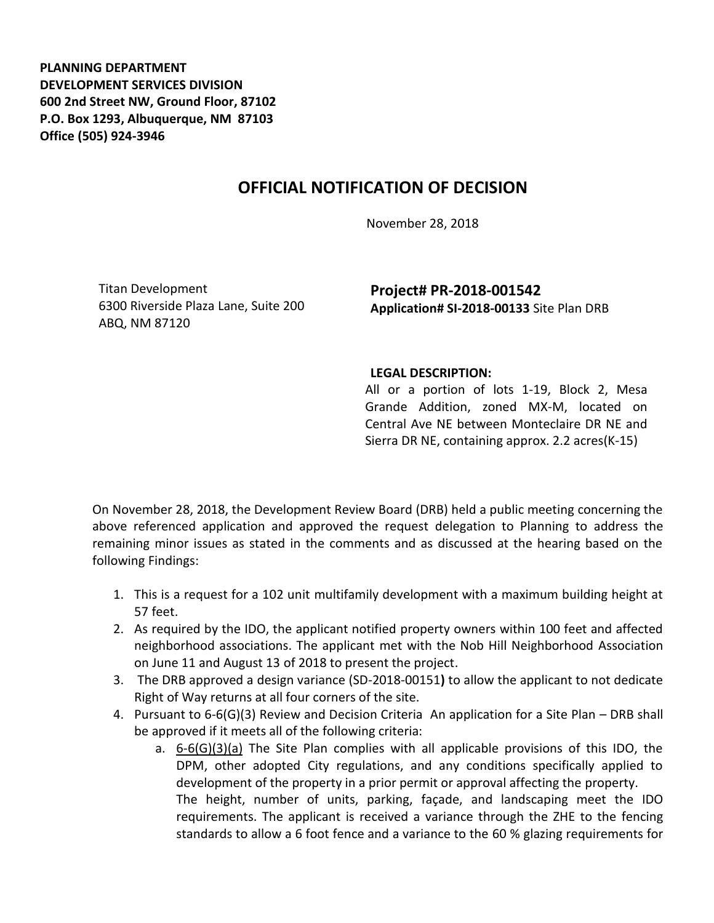**PLANNING DEPARTMENT DEVELOPMENT SERVICES DIVISION 600 2nd Street NW, Ground Floor, 87102 P.O. Box 1293, Albuquerque, NM 87103 Office (505) 924-3946** 

## **OFFICIAL NOTIFICATION OF DECISION**

November 28, 2018

Titan Development 6300 Riverside Plaza Lane, Suite 200 ABQ, NM 87120

**Project# PR-2018-001542 Application# SI-2018-00133** Site Plan DRB

## **LEGAL DESCRIPTION:**

All or a portion of lots 1-19, Block 2, Mesa Grande Addition, zoned MX-M, located on Central Ave NE between Monteclaire DR NE and Sierra DR NE, containing approx. 2.2 acres(K-15)

On November 28, 2018, the Development Review Board (DRB) held a public meeting concerning the above referenced application and approved the request delegation to Planning to address the remaining minor issues as stated in the comments and as discussed at the hearing based on the following Findings:

- 1. This is a request for a 102 unit multifamily development with a maximum building height at 57 feet.
- 2. As required by the IDO, the applicant notified property owners within 100 feet and affected neighborhood associations. The applicant met with the Nob Hill Neighborhood Association on June 11 and August 13 of 2018 to present the project.
- 3. The DRB approved a design variance (SD-2018-00151**)** to allow the applicant to not dedicate Right of Way returns at all four corners of the site.
- 4. Pursuant to 6-6(G)(3) Review and Decision Criteria An application for a Site Plan DRB shall be approved if it meets all of the following criteria:
	- a. 6-6(G)(3)(a) The Site Plan complies with all applicable provisions of this IDO, the DPM, other adopted City regulations, and any conditions specifically applied to development of the property in a prior permit or approval affecting the property. The height, number of units, parking, façade, and landscaping meet the IDO

requirements. The applicant is received a variance through the ZHE to the fencing standards to allow a 6 foot fence and a variance to the 60 % glazing requirements for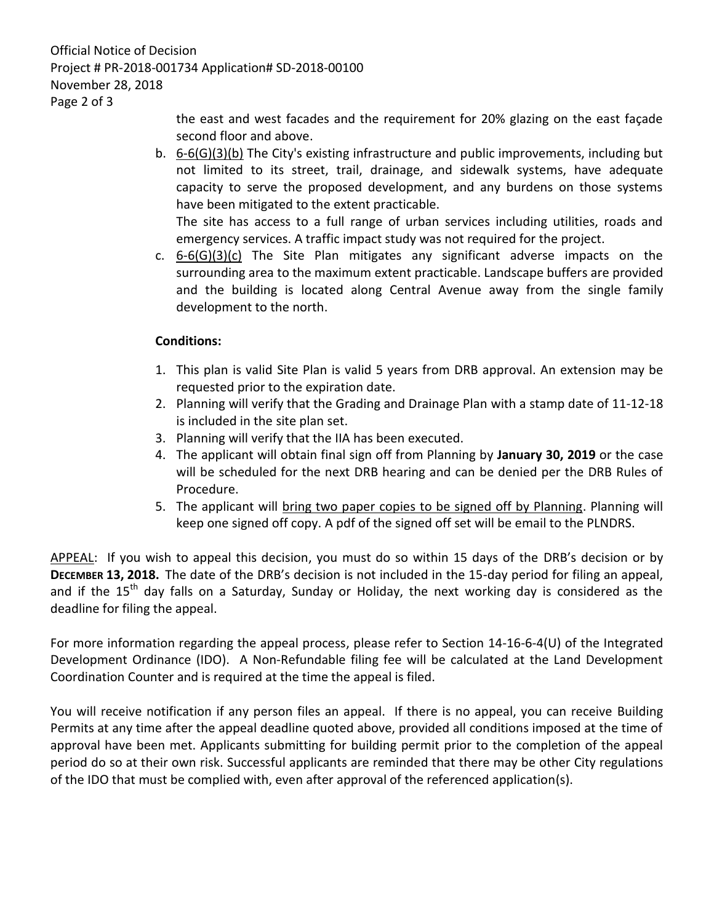Official Notice of Decision Project # PR-2018-001734 Application# SD-2018-00100 November 28, 2018 Page 2 of 3

> the east and west facades and the requirement for 20% glazing on the east façade second floor and above.

b. 6-6(G)(3)(b) The City's existing infrastructure and public improvements, including but not limited to its street, trail, drainage, and sidewalk systems, have adequate capacity to serve the proposed development, and any burdens on those systems have been mitigated to the extent practicable.

The site has access to a full range of urban services including utilities, roads and emergency services. A traffic impact study was not required for the project.

c.  $6-6(G)(3)(c)$  The Site Plan mitigates any significant adverse impacts on the surrounding area to the maximum extent practicable. Landscape buffers are provided and the building is located along Central Avenue away from the single family development to the north.

## **Conditions:**

- 1. This plan is valid Site Plan is valid 5 years from DRB approval. An extension may be requested prior to the expiration date.
- 2. Planning will verify that the Grading and Drainage Plan with a stamp date of 11-12-18 is included in the site plan set.
- 3. Planning will verify that the IIA has been executed.
- 4. The applicant will obtain final sign off from Planning by **January 30, 2019** or the case will be scheduled for the next DRB hearing and can be denied per the DRB Rules of Procedure.
- 5. The applicant will bring two paper copies to be signed off by Planning. Planning will keep one signed off copy. A pdf of the signed off set will be email to the PLNDRS.

APPEAL: If you wish to appeal this decision, you must do so within 15 days of the DRB's decision or by **DECEMBER 13, 2018.** The date of the DRB's decision is not included in the 15-day period for filing an appeal, and if the  $15<sup>th</sup>$  day falls on a Saturday, Sunday or Holiday, the next working day is considered as the deadline for filing the appeal.

For more information regarding the appeal process, please refer to Section 14-16-6-4(U) of the Integrated Development Ordinance (IDO). A Non-Refundable filing fee will be calculated at the Land Development Coordination Counter and is required at the time the appeal is filed.

You will receive notification if any person files an appeal. If there is no appeal, you can receive Building Permits at any time after the appeal deadline quoted above, provided all conditions imposed at the time of approval have been met. Applicants submitting for building permit prior to the completion of the appeal period do so at their own risk. Successful applicants are reminded that there may be other City regulations of the IDO that must be complied with, even after approval of the referenced application(s).